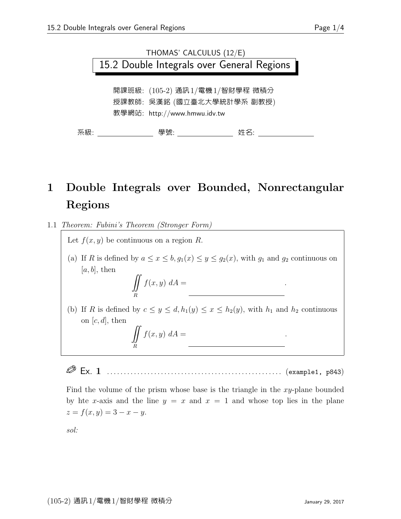

## 1 Double Integrals over Bounded, Nonrectangular Regions

1.1 Theorem: Fubini's Theorem (Stronger Form)

Let  $f(x, y)$  be continuous on a region R.

(a) If R is defined by  $a \le x \le b$ ,  $g_1(x) \le y \le g_2(x)$ , with  $g_1$  and  $g_2$  continuous on  $[a, b]$ , then

f(x, y) dy dy d $\alpha$ 

f(x, y) dx dy .

 $\int$ R  $f(x, y) dA =$ 

(b) If R is defined by  $c \le y \le d$ ,  $h_1(y) \le x \le h_2(y)$ , with  $h_1$  and  $h_2$  continuous on  $[c, d]$ , then

$$
\iint\limits_R f(x,y) \; dA =
$$

Ex. 1 . . . . . . . . . . . . . . . . . . . . . . . . . . . . . . . . . . . . . . . . . . . . . . . . . . . . (example1, p843)

Find the volume of the prism whose base is the triangle in the  $xy$ -plane bounded by hte x-axis and the line  $y = x$  and  $x = 1$  and whose top lies in the plane  $z = f(x, y) = 3 - x - y.$ 

sol: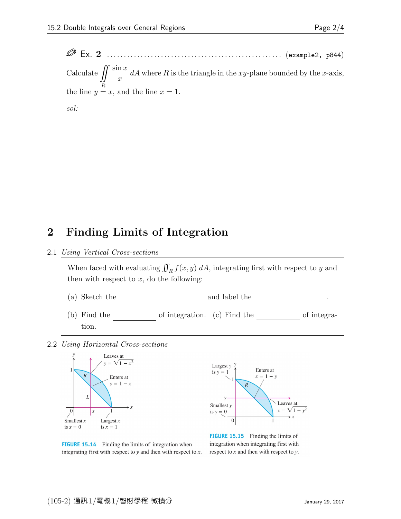Ex. 2 . . . . . . . . . . . . . . . . . . . . . . . . . . . . . . . . . . . . . . . . . . . . . . . . . . . . (example2, p844) Calculate  $\iint \frac{\sin x}{x}$ the line  $y = x$ , and the line  $x = 1$ .  $\overline{x}$  $dA$  where R is the triangle in the xy-plane bounded by the x-axis,

sol:

## 2 Finding Limits of Integration

## 2.1 Using Vertical Cross-sections

When faced with evaluating  $\iint_R f(x, y) dA$ , integrating first with respect to y and then with respect to  $x$ , do the following: (a) Sketch the  $\hfill$  and label the  $\hfill$ (b) Find the  $\_\_\_\_\_\$  of integration. (c) Find the  $\_\_\_\_\_\_\_\_\_\_\_\$  of integra-

2.2 Using Horizontal Cross-sections

tion.



**FIGURE 15.14** Finding the limits of integration when integrating first with respect to  $y$  and then with respect to  $x$ .



**FIGURE 15.15** Finding the limits of integration when integrating first with respect to  $x$  and then with respect to  $y$ .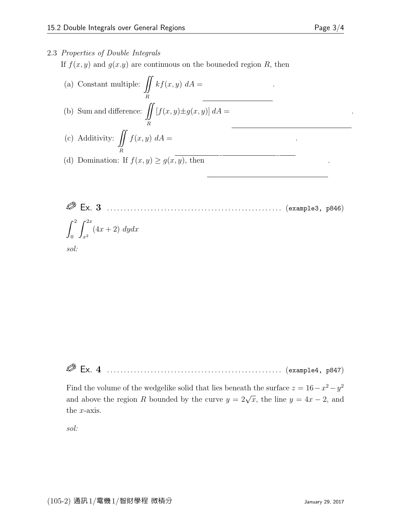## 2.3 Properties of Double Integrals

If  $f(x, y)$  and  $g(x,y)$  are continuous on the bouneded region R, then

- (a) Constant multiple:  $\iint$ R  $kf(x, y) dA =$ f(x, y) data . (b) Sum and difference:  $\iint$ R  $[f(x, y) \pm g(x, y)] dA =$ (c) Additivity:  $\iint f(x, y) dA =$ R f(x, y) d $\alpha$
- (d) Domination: If  $f(x, y) \ge g(x, y)$ , then
- Ex. 3 . . . . . . . . . . . . . . . . . . . . . . . . . . . . . . . . . . . . . . . . . . . . . . . . . . . . (example3, p846)  $\int_0^2$ 0  $\int^{2x}$  $x^2$  $(4x+2) dydx$ sol:

Ø Ex. 4 . . . . . . . . . . . . . . . . . . . . . . . . . . . . . . . . . . . . . . . . . . . . . . . . . . . . (example4, p847)

Find the volume of the wedgelike solid that lies beneath the surface  $z = 16 - x^2 - y^2$ and above the region R bounded by the curve  $y = 2\sqrt{x}$ , the line  $y = 4x - 2$ , and the x-axis.

sol:

 $\mathcal{L}(\mathcal{L}^{\mathcal{L}})$  data .

 $\overline{\phantom{a}}$ 

 $\mathcal{L}_{\mathcal{A}}$  , y) data .